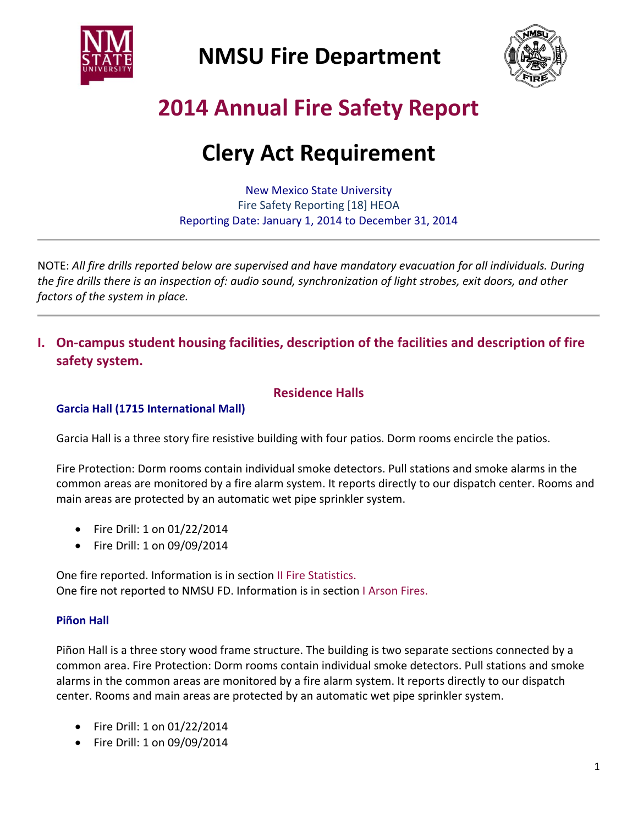



# **2014 Annual Fire Safety Report**

# **Clery Act Requirement**

New Mexico State University Fire Safety Reporting [18] HEOA Reporting Date: January 1, 2014 to December 31, 2014

NOTE: *All fire drills reported below are supervised and have mandatory evacuation for all individuals. During* the fire drills there is an inspection of: audio sound, synchronization of light strobes, exit doors, and other *factors of the system in place.*

### **I. On‐campus student housing facilities, description of the facilities and description of fire safety system.**

#### **Residence Halls**

#### **Garcia Hall (1715 International Mall)**

Garcia Hall is a three story fire resistive building with four patios. Dorm rooms encircle the patios.

Fire Protection: Dorm rooms contain individual smoke detectors. Pull stations and smoke alarms in the common areas are monitored by a fire alarm system. It reports directly to our dispatch center. Rooms and main areas are protected by an automatic wet pipe sprinkler system.

- Fire Drill: 1 on 01/22/2014
- Fire Drill: 1 on 09/09/2014

One fire reported. Information is in section II Fire Statistics. One fire not reported to NMSU FD. Information is in section I Arson Fires.

#### **Piñon Hall**

Piñon Hall is a three story wood frame structure. The building is two separate sections connected by a common area. Fire Protection: Dorm rooms contain individual smoke detectors. Pull stations and smoke alarms in the common areas are monitored by a fire alarm system. It reports directly to our dispatch center. Rooms and main areas are protected by an automatic wet pipe sprinkler system.

- Fire Drill: 1 on 01/22/2014
- Fire Drill: 1 on 09/09/2014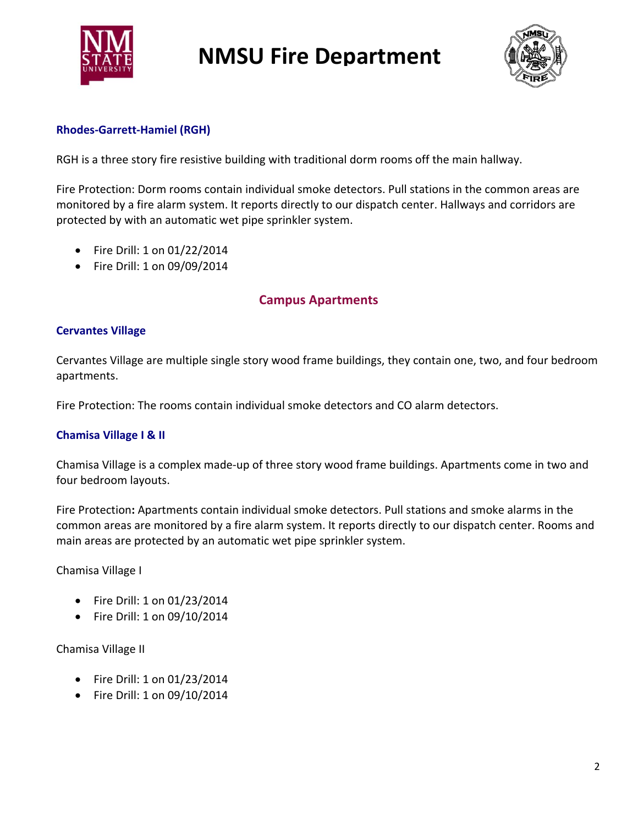



#### **Rhodes‐Garrett‐Hamiel (RGH)**

RGH is a three story fire resistive building with traditional dorm rooms off the main hallway.

Fire Protection: Dorm rooms contain individual smoke detectors. Pull stations in the common areas are monitored by a fire alarm system. It reports directly to our dispatch center. Hallways and corridors are protected by with an automatic wet pipe sprinkler system.

- Fire Drill: 1 on 01/22/2014
- Fire Drill: 1 on 09/09/2014

### **Campus Apartments**

#### **Cervantes Village**

Cervantes Village are multiple single story wood frame buildings, they contain one, two, and four bedroom apartments.

Fire Protection: The rooms contain individual smoke detectors and CO alarm detectors.

#### **Chamisa Village I & II**

Chamisa Village is a complex made‐up of three story wood frame buildings. Apartments come in two and four bedroom layouts.

Fire Protection**:** Apartments contain individual smoke detectors. Pull stations and smoke alarms in the common areas are monitored by a fire alarm system. It reports directly to our dispatch center. Rooms and main areas are protected by an automatic wet pipe sprinkler system.

Chamisa Village I

- Fire Drill: 1 on 01/23/2014
- Fire Drill: 1 on 09/10/2014

#### Chamisa Village II

- Fire Drill: 1 on 01/23/2014
- Fire Drill: 1 on 09/10/2014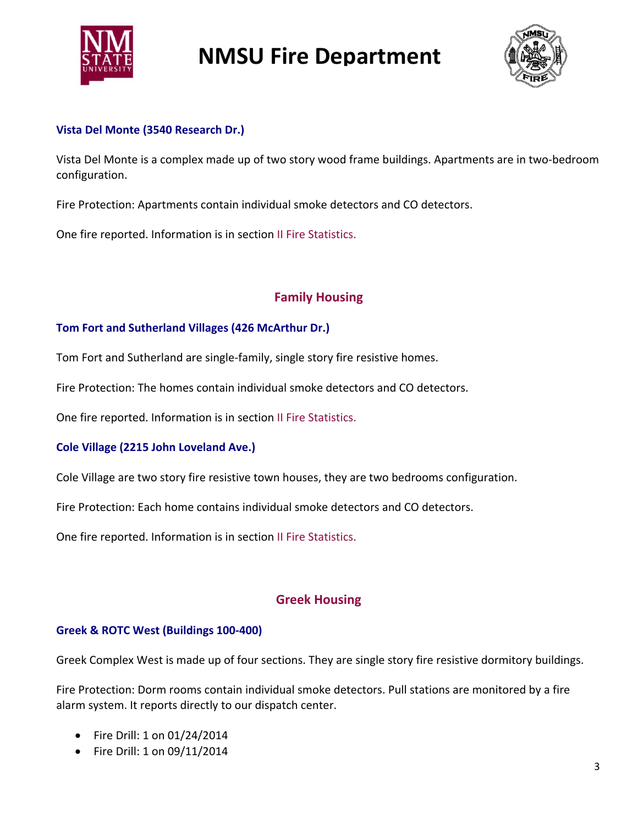



#### **Vista Del Monte (3540 Research Dr.)**

Vista Del Monte is a complex made up of two story wood frame buildings. Apartments are in two‐bedroom configuration.

Fire Protection: Apartments contain individual smoke detectors and CO detectors.

One fire reported. Information is in section II Fire Statistics.

### **Family Housing**

#### **Tom Fort and Sutherland Villages (426 McArthur Dr.)**

Tom Fort and Sutherland are single‐family, single story fire resistive homes.

Fire Protection: The homes contain individual smoke detectors and CO detectors.

One fire reported. Information is in section II Fire Statistics.

#### **Cole Village (2215 John Loveland Ave.)**

Cole Village are two story fire resistive town houses, they are two bedrooms configuration.

Fire Protection: Each home contains individual smoke detectors and CO detectors.

One fire reported. Information is in section II Fire Statistics.

#### **Greek Housing**

#### **Greek & ROTC West (Buildings 100‐400)**

Greek Complex West is made up of four sections. They are single story fire resistive dormitory buildings.

Fire Protection: Dorm rooms contain individual smoke detectors. Pull stations are monitored by a fire alarm system. It reports directly to our dispatch center.

- Fire Drill: 1 on 01/24/2014
- Fire Drill: 1 on 09/11/2014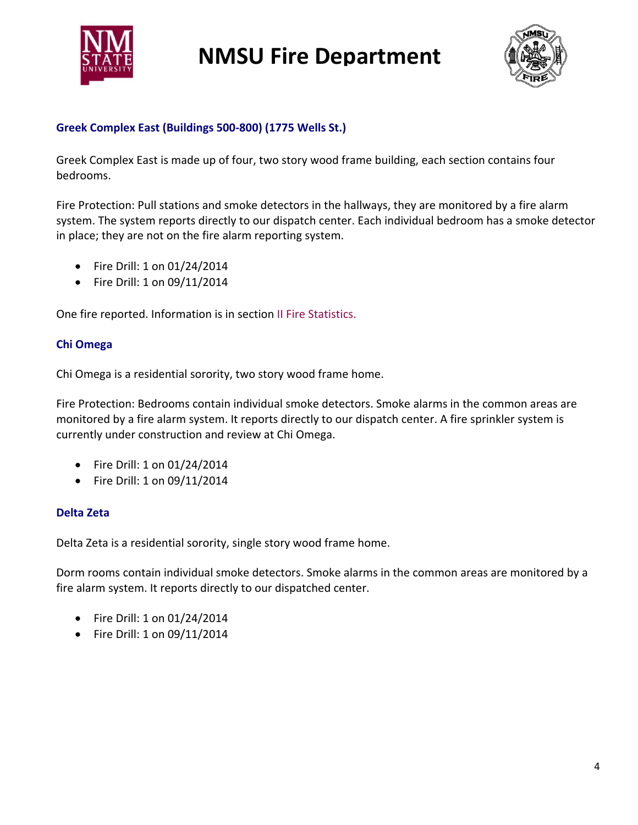



#### **Greek Complex East (Buildings 500‐800) (1775 Wells St.)**

Greek Complex East is made up of four, two story wood frame building, each section contains four bedrooms.

Fire Protection: Pull stations and smoke detectors in the hallways, they are monitored by a fire alarm system. The system reports directly to our dispatch center. Each individual bedroom has a smoke detector in place; they are not on the fire alarm reporting system.

- Fire Drill: 1 on 01/24/2014
- Fire Drill: 1 on 09/11/2014

One fire reported. Information is in section II Fire Statistics.

#### **Chi Omega**

Chi Omega is a residential sorority, two story wood frame home.

Fire Protection: Bedrooms contain individual smoke detectors. Smoke alarms in the common areas are monitored by a fire alarm system. It reports directly to our dispatch center. A fire sprinkler system is currently under construction and review at Chi Omega.

- Fire Drill: 1 on 01/24/2014
- Fire Drill: 1 on 09/11/2014

#### **Delta Zeta**

Delta Zeta is a residential sorority, single story wood frame home.

Dorm rooms contain individual smoke detectors. Smoke alarms in the common areas are monitored by a fire alarm system. It reports directly to our dispatched center.

- Fire Drill: 1 on 01/24/2014
- Fire Drill: 1 on 09/11/2014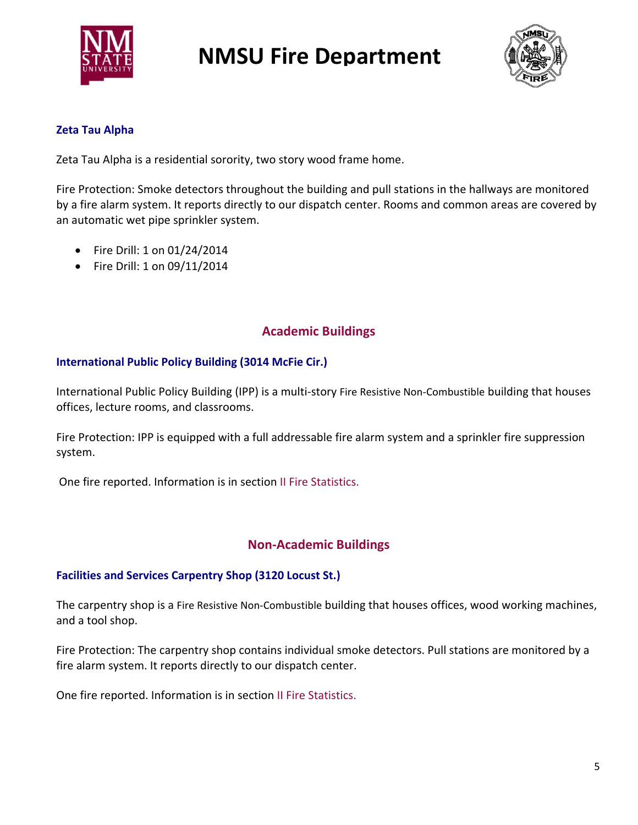



#### **Zeta Tau Alpha**

Zeta Tau Alpha is a residential sorority, two story wood frame home.

Fire Protection: Smoke detectors throughout the building and pull stations in the hallways are monitored by a fire alarm system. It reports directly to our dispatch center. Rooms and common areas are covered by an automatic wet pipe sprinkler system.

- Fire Drill: 1 on 01/24/2014
- Fire Drill: 1 on 09/11/2014

### **Academic Buildings**

#### **International Public Policy Building (3014 McFie Cir.)**

International Public Policy Building (IPP) is a multi‐story Fire Resistive Non‐Combustible building that houses offices, lecture rooms, and classrooms.

Fire Protection: IPP is equipped with a full addressable fire alarm system and a sprinkler fire suppression system.

One fire reported. Information is in section II Fire Statistics.

#### **Non‐Academic Buildings**

#### **Facilities and Services Carpentry Shop (3120 Locust St.)**

The carpentry shop is a Fire Resistive Non‐Combustible building that houses offices, wood working machines, and a tool shop.

Fire Protection: The carpentry shop contains individual smoke detectors. Pull stations are monitored by a fire alarm system. It reports directly to our dispatch center.

One fire reported. Information is in section II Fire Statistics.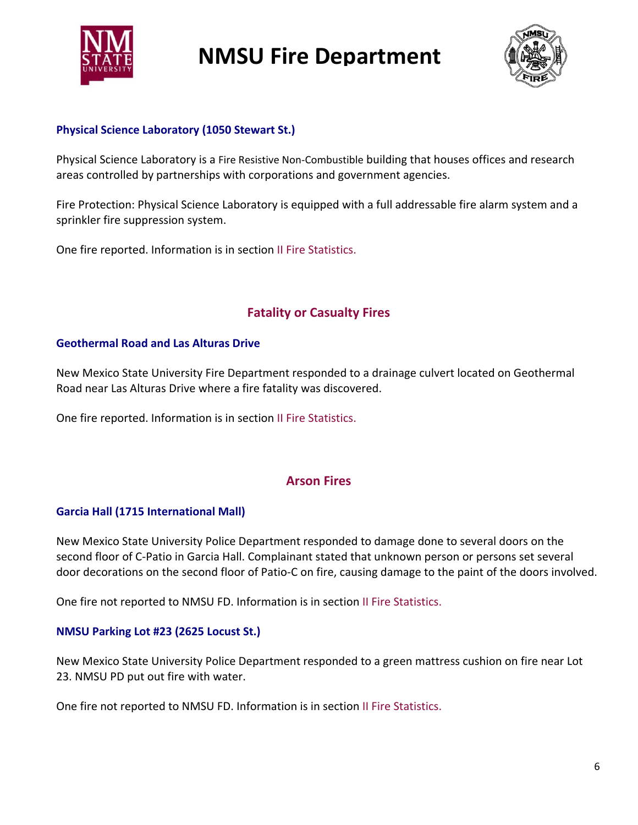



#### **Physical Science Laboratory (1050 Stewart St.)**

Physical Science Laboratory is a Fire Resistive Non‐Combustible building that houses offices and research areas controlled by partnerships with corporations and government agencies.

Fire Protection: Physical Science Laboratory is equipped with a full addressable fire alarm system and a sprinkler fire suppression system.

One fire reported. Information is in section II Fire Statistics.

### **Fatality or Casualty Fires**

#### **Geothermal Road and Las Alturas Drive**

New Mexico State University Fire Department responded to a drainage culvert located on Geothermal Road near Las Alturas Drive where a fire fatality was discovered.

One fire reported. Information is in section II Fire Statistics.

#### **Arson Fires**

#### **Garcia Hall (1715 International Mall)**

New Mexico State University Police Department responded to damage done to several doors on the second floor of C‐Patio in Garcia Hall. Complainant stated that unknown person or persons set several door decorations on the second floor of Patio‐C on fire, causing damage to the paint of the doors involved.

One fire not reported to NMSU FD. Information is in section II Fire Statistics.

#### **NMSU Parking Lot #23 (2625 Locust St.)**

New Mexico State University Police Department responded to a green mattress cushion on fire near Lot 23. NMSU PD put out fire with water.

One fire not reported to NMSU FD. Information is in section II Fire Statistics.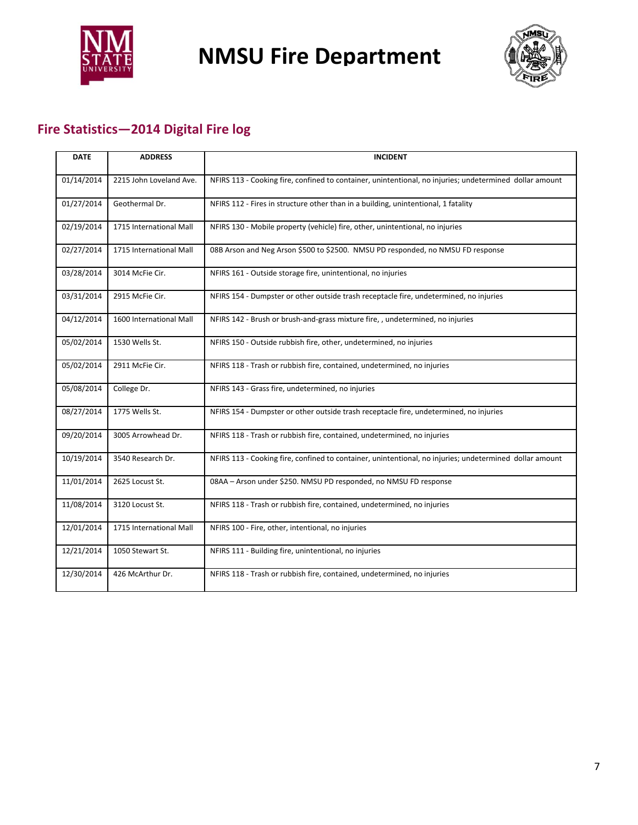



# **Fire Statistics—2014 Digital Fire log**

| <b>DATE</b> | <b>ADDRESS</b>          | <b>INCIDENT</b>                                                                                         |
|-------------|-------------------------|---------------------------------------------------------------------------------------------------------|
| 01/14/2014  | 2215 John Loveland Ave. | NFIRS 113 - Cooking fire, confined to container, unintentional, no injuries; undetermined dollar amount |
| 01/27/2014  | Geothermal Dr.          | NFIRS 112 - Fires in structure other than in a building, unintentional, 1 fatality                      |
| 02/19/2014  | 1715 International Mall | NFIRS 130 - Mobile property (vehicle) fire, other, unintentional, no injuries                           |
| 02/27/2014  | 1715 International Mall | 08B Arson and Neg Arson \$500 to \$2500. NMSU PD responded, no NMSU FD response                         |
| 03/28/2014  | 3014 McFie Cir.         | NFIRS 161 - Outside storage fire, unintentional, no injuries                                            |
| 03/31/2014  | 2915 McFie Cir.         | NFIRS 154 - Dumpster or other outside trash receptacle fire, undetermined, no injuries                  |
| 04/12/2014  | 1600 International Mall | NFIRS 142 - Brush or brush-and-grass mixture fire, , undetermined, no injuries                          |
| 05/02/2014  | 1530 Wells St.          | NFIRS 150 - Outside rubbish fire, other, undetermined, no injuries                                      |
| 05/02/2014  | 2911 McFie Cir.         | NFIRS 118 - Trash or rubbish fire, contained, undetermined, no injuries                                 |
| 05/08/2014  | College Dr.             | NFIRS 143 - Grass fire, undetermined, no injuries                                                       |
| 08/27/2014  | 1775 Wells St.          | NFIRS 154 - Dumpster or other outside trash receptacle fire, undetermined, no injuries                  |
| 09/20/2014  | 3005 Arrowhead Dr.      | NFIRS 118 - Trash or rubbish fire, contained, undetermined, no injuries                                 |
| 10/19/2014  | 3540 Research Dr.       | NFIRS 113 - Cooking fire, confined to container, unintentional, no injuries; undetermined dollar amount |
| 11/01/2014  | 2625 Locust St.         | 08AA - Arson under \$250. NMSU PD responded, no NMSU FD response                                        |
| 11/08/2014  | 3120 Locust St.         | NFIRS 118 - Trash or rubbish fire, contained, undetermined, no injuries                                 |
| 12/01/2014  | 1715 International Mall | NFIRS 100 - Fire, other, intentional, no injuries                                                       |
| 12/21/2014  | 1050 Stewart St.        | NFIRS 111 - Building fire, unintentional, no injuries                                                   |
| 12/30/2014  | 426 McArthur Dr.        | NFIRS 118 - Trash or rubbish fire, contained, undetermined, no injuries                                 |